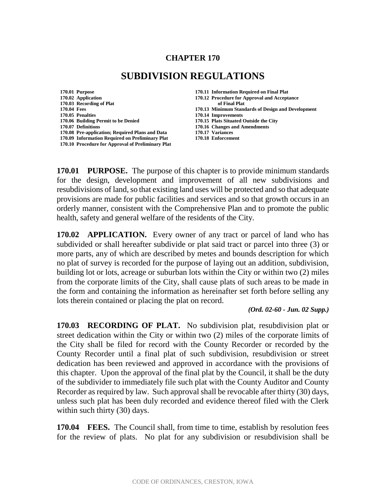### **CHAPTER 170**

# **SUBDIVISION REGULATIONS**

**170.01 Purpose 170.11 Information Required on Final Plat 170.02 Application 170.12 Procedure for Approval and Acceptance 170.03 Recording of Plat of Final Plat 170.04 Fees 170.13 Minimum Standards of Design and Development 170.06 Building Permit to be Denied 170.15 Plats Situated Outside the City 170.07 Definitions 170.16 Changes and Amendments 170.08 Pre-application; Required Plans and Data 170.17 Variances 170.09 Information Required on Preliminary Plat 170.10 Procedure for Approval of Preliminary Plat**

**170.05 Penalties 170.14 Improvements**

**170.01 PURPOSE.** The purpose of this chapter is to provide minimum standards for the design, development and improvement of all new subdivisions and resubdivisions of land, so that existing land uses will be protected and so that adequate provisions are made for public facilities and services and so that growth occurs in an orderly manner, consistent with the Comprehensive Plan and to promote the public health, safety and general welfare of the residents of the City.

**170.02 APPLICATION.** Every owner of any tract or parcel of land who has subdivided or shall hereafter subdivide or plat said tract or parcel into three (3) or more parts, any of which are described by metes and bounds description for which no plat of survey is recorded for the purpose of laying out an addition, subdivision, building lot or lots, acreage or suburban lots within the City or within two (2) miles from the corporate limits of the City, shall cause plats of such areas to be made in the form and containing the information as hereinafter set forth before selling any lots therein contained or placing the plat on record.

#### *(Ord. 02-60 - Jun. 02 Supp.)*

**170.03 RECORDING OF PLAT.** No subdivision plat, resubdivision plat or street dedication within the City or within two (2) miles of the corporate limits of the City shall be filed for record with the County Recorder or recorded by the County Recorder until a final plat of such subdivision, resubdivision or street dedication has been reviewed and approved in accordance with the provisions of this chapter. Upon the approval of the final plat by the Council, it shall be the duty of the subdivider to immediately file such plat with the County Auditor and County Recorder as required by law. Such approval shall be revocable after thirty (30) days, unless such plat has been duly recorded and evidence thereof filed with the Clerk within such thirty (30) days.

**170.04 FEES.** The Council shall, from time to time, establish by resolution fees for the review of plats. No plat for any subdivision or resubdivision shall be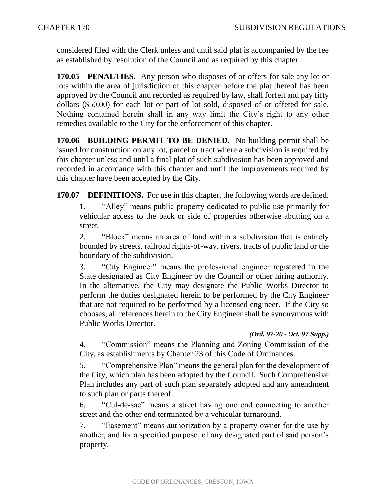considered filed with the Clerk unless and until said plat is accompanied by the fee as established by resolution of the Council and as required by this chapter.

**170.05 PENALTIES.** Any person who disposes of or offers for sale any lot or lots within the area of jurisdiction of this chapter before the plat thereof has been approved by the Council and recorded as required by law, shall forfeit and pay fifty dollars (\$50.00) for each lot or part of lot sold, disposed of or offered for sale. Nothing contained herein shall in any way limit the City's right to any other remedies available to the City for the enforcement of this chapter.

**170.06 BUILDING PERMIT TO BE DENIED.** No building permit shall be issued for construction on any lot, parcel or tract where a subdivision is required by this chapter unless and until a final plat of such subdivision has been approved and recorded in accordance with this chapter and until the improvements required by this chapter have been accepted by the City.

**170.07 DEFINITIONS.** For use in this chapter, the following words are defined.

1. "Alley" means public property dedicated to public use primarily for vehicular access to the back or side of properties otherwise abutting on a street.

2. "Block" means an area of land within a subdivision that is entirely bounded by streets, railroad rights-of-way, rivers, tracts of public land or the boundary of the subdivision.

3. "City Engineer" means the professional engineer registered in the State designated as City Engineer by the Council or other hiring authority. In the alternative, the City may designate the Public Works Director to perform the duties designated herein to be performed by the City Engineer that are not required to be performed by a licensed engineer. If the City so chooses, all references herein to the City Engineer shall be synonymous with Public Works Director.

#### *(Ord. 97-20 - Oct. 97 Supp.)*

4. "Commission" means the Planning and Zoning Commission of the City, as establishments by Chapter 23 of this Code of Ordinances.

5. "Comprehensive Plan" means the general plan for the development of the City, which plan has been adopted by the Council. Such Comprehensive Plan includes any part of such plan separately adopted and any amendment to such plan or parts thereof.

6. "Cul-de-sac" means a street having one end connecting to another street and the other end terminated by a vehicular turnaround.

7. "Easement" means authorization by a property owner for the use by another, and for a specified purpose, of any designated part of said person's property.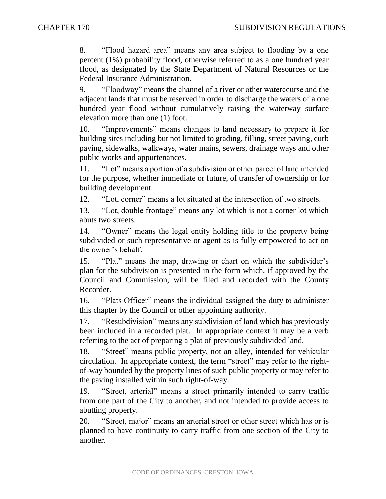8. "Flood hazard area" means any area subject to flooding by a one percent (1%) probability flood, otherwise referred to as a one hundred year flood, as designated by the State Department of Natural Resources or the Federal Insurance Administration.

9. "Floodway" means the channel of a river or other watercourse and the adjacent lands that must be reserved in order to discharge the waters of a one hundred year flood without cumulatively raising the waterway surface elevation more than one (1) foot.

10. "Improvements" means changes to land necessary to prepare it for building sites including but not limited to grading, filling, street paving, curb paving, sidewalks, walkways, water mains, sewers, drainage ways and other public works and appurtenances.

11. "Lot" means a portion of a subdivision or other parcel of land intended for the purpose, whether immediate or future, of transfer of ownership or for building development.

12. "Lot, corner" means a lot situated at the intersection of two streets.

13. "Lot, double frontage" means any lot which is not a corner lot which abuts two streets.

14. "Owner" means the legal entity holding title to the property being subdivided or such representative or agent as is fully empowered to act on the owner's behalf.

15. "Plat" means the map, drawing or chart on which the subdivider's plan for the subdivision is presented in the form which, if approved by the Council and Commission, will be filed and recorded with the County Recorder.

16. "Plats Officer" means the individual assigned the duty to administer this chapter by the Council or other appointing authority.

17. "Resubdivision" means any subdivision of land which has previously been included in a recorded plat. In appropriate context it may be a verb referring to the act of preparing a plat of previously subdivided land.

18. "Street" means public property, not an alley, intended for vehicular circulation. In appropriate context, the term "street" may refer to the rightof-way bounded by the property lines of such public property or may refer to the paving installed within such right-of-way.

19. "Street, arterial" means a street primarily intended to carry traffic from one part of the City to another, and not intended to provide access to abutting property.

20. "Street, major" means an arterial street or other street which has or is planned to have continuity to carry traffic from one section of the City to another.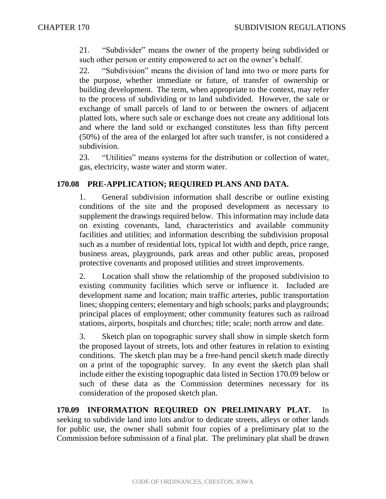21. "Subdivider" means the owner of the property being subdivided or such other person or entity empowered to act on the owner's behalf.

22. "Subdivision" means the division of land into two or more parts for the purpose, whether immediate or future, of transfer of ownership or building development. The term, when appropriate to the context, may refer to the process of subdividing or to land subdivided. However, the sale or exchange of small parcels of land to or between the owners of adjacent platted lots, where such sale or exchange does not create any additional lots and where the land sold or exchanged constitutes less than fifty percent (50%) of the area of the enlarged lot after such transfer, is not considered a subdivision.

23. "Utilities" means systems for the distribution or collection of water, gas, electricity, waste water and storm water.

# **170.08 PRE-APPLICATION; REQUIRED PLANS AND DATA.**

1. General subdivision information shall describe or outline existing conditions of the site and the proposed development as necessary to supplement the drawings required below. This information may include data on existing covenants, land, characteristics and available community facilities and utilities; and information describing the subdivision proposal such as a number of residential lots, typical lot width and depth, price range, business areas, playgrounds, park areas and other public areas, proposed protective covenants and proposed utilities and street improvements.

2. Location shall show the relationship of the proposed subdivision to existing community facilities which serve or influence it. Included are development name and location; main traffic arteries, public transportation lines; shopping centers; elementary and high schools; parks and playgrounds; principal places of employment; other community features such as railroad stations, airports, hospitals and churches; title; scale; north arrow and date.

3. Sketch plan on topographic survey shall show in simple sketch form the proposed layout of streets, lots and other features in relation to existing conditions. The sketch plan may be a free-hand pencil sketch made directly on a print of the topographic survey. In any event the sketch plan shall include either the existing topographic data listed in Section 170.09 below or such of these data as the Commission determines necessary for its consideration of the proposed sketch plan.

**170.09 INFORMATION REQUIRED ON PRELIMINARY PLAT.** In seeking to subdivide land into lots and/or to dedicate streets, alleys or other lands for public use, the owner shall submit four copies of a preliminary plat to the Commission before submission of a final plat. The preliminary plat shall be drawn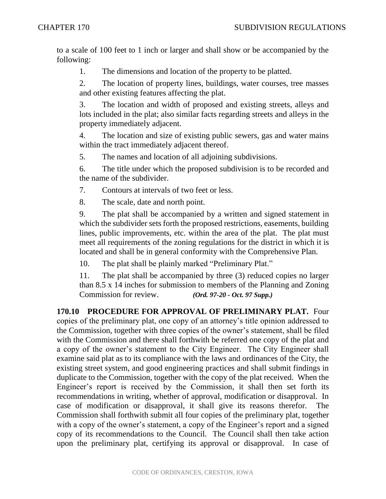to a scale of 100 feet to 1 inch or larger and shall show or be accompanied by the following:

1. The dimensions and location of the property to be platted.

2. The location of property lines, buildings, water courses, tree masses and other existing features affecting the plat.

3. The location and width of proposed and existing streets, alleys and lots included in the plat; also similar facts regarding streets and alleys in the property immediately adjacent.

4. The location and size of existing public sewers, gas and water mains within the tract immediately adjacent thereof.

5. The names and location of all adjoining subdivisions.

6. The title under which the proposed subdivision is to be recorded and the name of the subdivider.

7. Contours at intervals of two feet or less.

8. The scale, date and north point.

9. The plat shall be accompanied by a written and signed statement in which the subdivider sets forth the proposed restrictions, easements, building lines, public improvements, etc. within the area of the plat. The plat must meet all requirements of the zoning regulations for the district in which it is located and shall be in general conformity with the Comprehensive Plan.

10. The plat shall be plainly marked "Preliminary Plat."

11. The plat shall be accompanied by three (3) reduced copies no larger than 8.5 x 14 inches for submission to members of the Planning and Zoning Commission for review. *(Ord. 97-20 - Oct. 97 Supp.)*

**170.10 PROCEDURE FOR APPROVAL OF PRELIMINARY PLAT.** Four copies of the preliminary plat, one copy of an attorney's title opinion addressed to the Commission, together with three copies of the owner's statement, shall be filed with the Commission and there shall forthwith be referred one copy of the plat and a copy of the owner's statement to the City Engineer. The City Engineer shall examine said plat as to its compliance with the laws and ordinances of the City, the existing street system, and good engineering practices and shall submit findings in duplicate to the Commission, together with the copy of the plat received. When the Engineer's report is received by the Commission, it shall then set forth its recommendations in writing, whether of approval, modification or disapproval. In case of modification or disapproval, it shall give its reasons therefor. The Commission shall forthwith submit all four copies of the preliminary plat, together with a copy of the owner's statement, a copy of the Engineer's report and a signed copy of its recommendations to the Council. The Council shall then take action upon the preliminary plat, certifying its approval or disapproval. In case of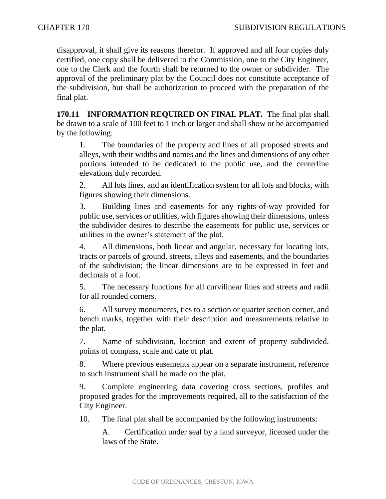disapproval, it shall give its reasons therefor. If approved and all four copies duly certified, one copy shall be delivered to the Commission, one to the City Engineer, one to the Clerk and the fourth shall be returned to the owner or subdivider. The approval of the preliminary plat by the Council does not constitute acceptance of the subdivision, but shall be authorization to proceed with the preparation of the final plat.

**170.11 INFORMATION REQUIRED ON FINAL PLAT.** The final plat shall be drawn to a scale of 100 feet to 1 inch or larger and shall show or be accompanied by the following:

1. The boundaries of the property and lines of all proposed streets and alleys, with their widths and names and the lines and dimensions of any other portions intended to be dedicated to the public use, and the centerline elevations duly recorded.

2. All lots lines, and an identification system for all lots and blocks, with figures showing their dimensions.

3. Building lines and easements for any rights-of-way provided for public use, services or utilities, with figures showing their dimensions, unless the subdivider desires to describe the easements for public use, services or utilities in the owner's statement of the plat.

4. All dimensions, both linear and angular, necessary for locating lots, tracts or parcels of ground, streets, alleys and easements, and the boundaries of the subdivision; the linear dimensions are to be expressed in feet and decimals of a foot.

5. The necessary functions for all curvilinear lines and streets and radii for all rounded corners.

6. All survey monuments, ties to a section or quarter section corner, and bench marks, together with their description and measurements relative to the plat.

7. Name of subdivision, location and extent of property subdivided, points of compass, scale and date of plat.

8. Where previous easements appear on a separate instrument, reference to such instrument shall be made on the plat.

9. Complete engineering data covering cross sections, profiles and proposed grades for the improvements required, all to the satisfaction of the City Engineer.

10. The final plat shall be accompanied by the following instruments:

A. Certification under seal by a land surveyor, licensed under the laws of the State.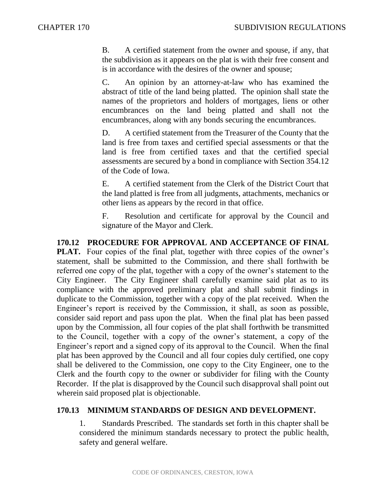B. A certified statement from the owner and spouse, if any, that the subdivision as it appears on the plat is with their free consent and is in accordance with the desires of the owner and spouse;

C. An opinion by an attorney-at-law who has examined the abstract of title of the land being platted. The opinion shall state the names of the proprietors and holders of mortgages, liens or other encumbrances on the land being platted and shall not the encumbrances, along with any bonds securing the encumbrances.

D. A certified statement from the Treasurer of the County that the land is free from taxes and certified special assessments or that the land is free from certified taxes and that the certified special assessments are secured by a bond in compliance with Section 354.12 of the Code of Iowa.

E. A certified statement from the Clerk of the District Court that the land platted is free from all judgments, attachments, mechanics or other liens as appears by the record in that office.

F. Resolution and certificate for approval by the Council and signature of the Mayor and Clerk.

**170.12 PROCEDURE FOR APPROVAL AND ACCEPTANCE OF FINAL PLAT.** Four copies of the final plat, together with three copies of the owner's statement, shall be submitted to the Commission, and there shall forthwith be referred one copy of the plat, together with a copy of the owner's statement to the City Engineer. The City Engineer shall carefully examine said plat as to its compliance with the approved preliminary plat and shall submit findings in duplicate to the Commission, together with a copy of the plat received. When the Engineer's report is received by the Commission, it shall, as soon as possible, consider said report and pass upon the plat. When the final plat has been passed upon by the Commission, all four copies of the plat shall forthwith be transmitted to the Council, together with a copy of the owner's statement, a copy of the Engineer's report and a signed copy of its approval to the Council. When the final plat has been approved by the Council and all four copies duly certified, one copy shall be delivered to the Commission, one copy to the City Engineer, one to the Clerk and the fourth copy to the owner or subdivider for filing with the County Recorder. If the plat is disapproved by the Council such disapproval shall point out wherein said proposed plat is objectionable.

## **170.13 MINIMUM STANDARDS OF DESIGN AND DEVELOPMENT.**

1. Standards Prescribed. The standards set forth in this chapter shall be considered the minimum standards necessary to protect the public health, safety and general welfare.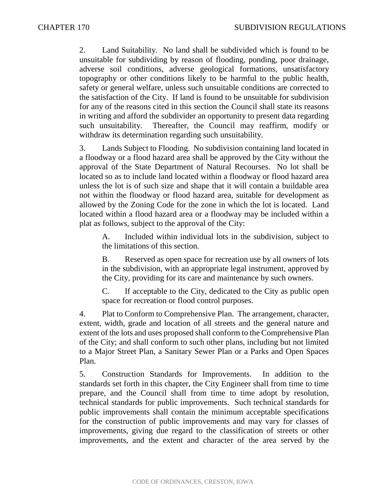2. Land Suitability. No land shall be subdivided which is found to be unsuitable for subdividing by reason of flooding, ponding, poor drainage, adverse soil conditions, adverse geological formations, unsatisfactory topography or other conditions likely to be harmful to the public health, safety or general welfare, unless such unsuitable conditions are corrected to the satisfaction of the City. If land is found to be unsuitable for subdivision for any of the reasons cited in this section the Council shall state its reasons in writing and afford the subdivider an opportunity to present data regarding such unsuitability. Thereafter, the Council may reaffirm, modify or withdraw its determination regarding such unsuitability.

3. Lands Subject to Flooding. No subdivision containing land located in a floodway or a flood hazard area shall be approved by the City without the approval of the State Department of Natural Recourses. No lot shall be located so as to include land located within a floodway or flood hazard area unless the lot is of such size and shape that it will contain a buildable area not within the floodway or flood hazard area, suitable for development as allowed by the Zoning Code for the zone in which the lot is located. Land located within a flood hazard area or a floodway may be included within a plat as follows, subject to the approval of the City:

A. Included within individual lots in the subdivision, subject to the limitations of this section.

B. Reserved as open space for recreation use by all owners of lots in the subdivision, with an appropriate legal instrument, approved by the City, providing for its care and maintenance by such owners.

C. If acceptable to the City, dedicated to the City as public open space for recreation or flood control purposes.

4. Plat to Conform to Comprehensive Plan. The arrangement, character, extent, width, grade and location of all streets and the general nature and extent of the lots and uses proposed shall conform to the Comprehensive Plan of the City; and shall conform to such other plans, including but not limited to a Major Street Plan, a Sanitary Sewer Plan or a Parks and Open Spaces Plan.

5. Construction Standards for Improvements. In addition to the standards set forth in this chapter, the City Engineer shall from time to time prepare, and the Council shall from time to time adopt by resolution, technical standards for public improvements. Such technical standards for public improvements shall contain the minimum acceptable specifications for the construction of public improvements and may vary for classes of improvements, giving due regard to the classification of streets or other improvements, and the extent and character of the area served by the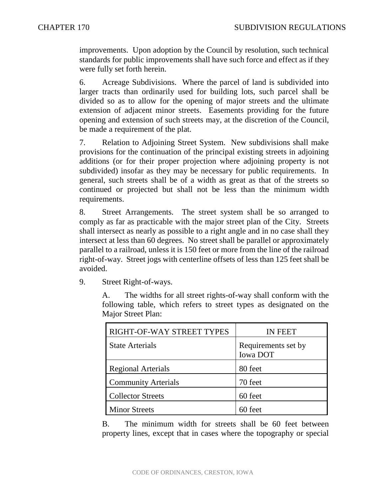improvements. Upon adoption by the Council by resolution, such technical standards for public improvements shall have such force and effect as if they were fully set forth herein.

6. Acreage Subdivisions. Where the parcel of land is subdivided into larger tracts than ordinarily used for building lots, such parcel shall be divided so as to allow for the opening of major streets and the ultimate extension of adjacent minor streets. Easements providing for the future opening and extension of such streets may, at the discretion of the Council, be made a requirement of the plat.

7. Relation to Adjoining Street System. New subdivisions shall make provisions for the continuation of the principal existing streets in adjoining additions (or for their proper projection where adjoining property is not subdivided) insofar as they may be necessary for public requirements. In general, such streets shall be of a width as great as that of the streets so continued or projected but shall not be less than the minimum width requirements.

8. Street Arrangements. The street system shall be so arranged to comply as far as practicable with the major street plan of the City. Streets shall intersect as nearly as possible to a right angle and in no case shall they intersect at less than 60 degrees. No street shall be parallel or approximately parallel to a railroad, unless it is 150 feet or more from the line of the railroad right-of-way. Street jogs with centerline offsets of less than 125 feet shall be avoided.

9. Street Right-of-ways.

A. The widths for all street rights-of-way shall conform with the following table, which refers to street types as designated on the Major Street Plan:

| RIGHT-OF-WAY STREET TYPES  | <b>IN FEET</b>                  |
|----------------------------|---------------------------------|
| <b>State Arterials</b>     | Requirements set by<br>Iowa DOT |
| <b>Regional Arterials</b>  | 80 feet                         |
| <b>Community Arterials</b> | 70 feet                         |
| <b>Collector Streets</b>   | 60 feet                         |
| <b>Minor Streets</b>       | 60 feet                         |

B. The minimum width for streets shall be 60 feet between property lines, except that in cases where the topography or special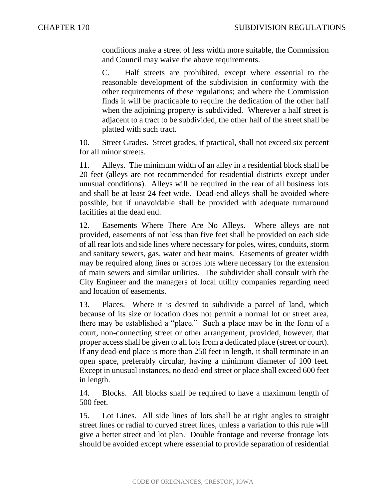conditions make a street of less width more suitable, the Commission and Council may waive the above requirements.

C. Half streets are prohibited, except where essential to the reasonable development of the subdivision in conformity with the other requirements of these regulations; and where the Commission finds it will be practicable to require the dedication of the other half when the adjoining property is subdivided. Wherever a half street is adjacent to a tract to be subdivided, the other half of the street shall be platted with such tract.

10. Street Grades. Street grades, if practical, shall not exceed six percent for all minor streets.

11. Alleys. The minimum width of an alley in a residential block shall be 20 feet (alleys are not recommended for residential districts except under unusual conditions). Alleys will be required in the rear of all business lots and shall be at least 24 feet wide. Dead-end alleys shall be avoided where possible, but if unavoidable shall be provided with adequate turnaround facilities at the dead end.

12. Easements Where There Are No Alleys. Where alleys are not provided, easements of not less than five feet shall be provided on each side of all rear lots and side lines where necessary for poles, wires, conduits, storm and sanitary sewers, gas, water and heat mains. Easements of greater width may be required along lines or across lots where necessary for the extension of main sewers and similar utilities. The subdivider shall consult with the City Engineer and the managers of local utility companies regarding need and location of easements.

13. Places. Where it is desired to subdivide a parcel of land, which because of its size or location does not permit a normal lot or street area, there may be established a "place." Such a place may be in the form of a court, non-connecting street or other arrangement, provided, however, that proper access shall be given to all lots from a dedicated place (street or court). If any dead-end place is more than 250 feet in length, it shall terminate in an open space, preferably circular, having a minimum diameter of 100 feet. Except in unusual instances, no dead-end street or place shall exceed 600 feet in length.

14. Blocks. All blocks shall be required to have a maximum length of 500 feet.

15. Lot Lines. All side lines of lots shall be at right angles to straight street lines or radial to curved street lines, unless a variation to this rule will give a better street and lot plan. Double frontage and reverse frontage lots should be avoided except where essential to provide separation of residential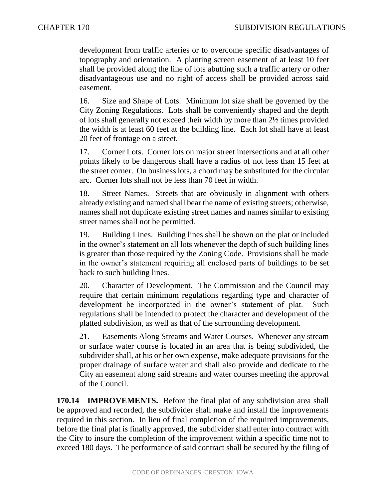development from traffic arteries or to overcome specific disadvantages of topography and orientation. A planting screen easement of at least 10 feet shall be provided along the line of lots abutting such a traffic artery or other disadvantageous use and no right of access shall be provided across said easement.

16. Size and Shape of Lots. Minimum lot size shall be governed by the City Zoning Regulations. Lots shall be conveniently shaped and the depth of lots shall generally not exceed their width by more than 2½ times provided the width is at least 60 feet at the building line. Each lot shall have at least 20 feet of frontage on a street.

17. Corner Lots. Corner lots on major street intersections and at all other points likely to be dangerous shall have a radius of not less than 15 feet at the street corner. On business lots, a chord may be substituted for the circular arc. Corner lots shall not be less than 70 feet in width.

18. Street Names. Streets that are obviously in alignment with others already existing and named shall bear the name of existing streets; otherwise, names shall not duplicate existing street names and names similar to existing street names shall not be permitted.

19. Building Lines. Building lines shall be shown on the plat or included in the owner's statement on all lots whenever the depth of such building lines is greater than those required by the Zoning Code. Provisions shall be made in the owner's statement requiring all enclosed parts of buildings to be set back to such building lines.

20. Character of Development. The Commission and the Council may require that certain minimum regulations regarding type and character of development be incorporated in the owner's statement of plat. Such regulations shall be intended to protect the character and development of the platted subdivision, as well as that of the surrounding development.

21. Easements Along Streams and Water Courses. Whenever any stream or surface water course is located in an area that is being subdivided, the subdivider shall, at his or her own expense, make adequate provisions for the proper drainage of surface water and shall also provide and dedicate to the City an easement along said streams and water courses meeting the approval of the Council.

**170.14 IMPROVEMENTS.** Before the final plat of any subdivision area shall be approved and recorded, the subdivider shall make and install the improvements required in this section. In lieu of final completion of the required improvements, before the final plat is finally approved, the subdivider shall enter into contract with the City to insure the completion of the improvement within a specific time not to exceed 180 days. The performance of said contract shall be secured by the filing of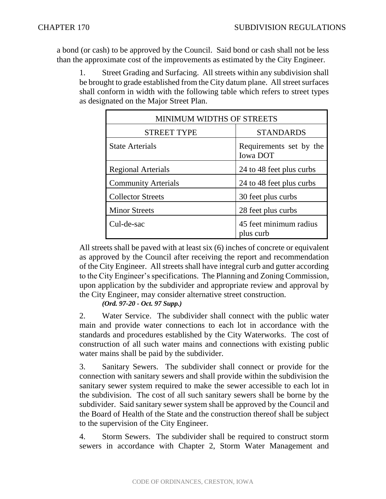a bond (or cash) to be approved by the Council. Said bond or cash shall not be less than the approximate cost of the improvements as estimated by the City Engineer.

1. Street Grading and Surfacing. All streets within any subdivision shall be brought to grade established from the City datum plane. All street surfaces shall conform in width with the following table which refers to street types as designated on the Major Street Plan.

| <b>MINIMUM WIDTHS OF STREETS</b> |                                            |
|----------------------------------|--------------------------------------------|
| <b>STREET TYPE</b>               | <b>STANDARDS</b>                           |
| <b>State Arterials</b>           | Requirements set by the<br><b>Iowa DOT</b> |
| <b>Regional Arterials</b>        | 24 to 48 feet plus curbs                   |
| <b>Community Arterials</b>       | 24 to 48 feet plus curbs                   |
| <b>Collector Streets</b>         | 30 feet plus curbs                         |
| <b>Minor Streets</b>             | 28 feet plus curbs                         |
| Cul-de-sac                       | 45 feet minimum radius<br>plus curb        |

All streets shall be paved with at least six (6) inches of concrete or equivalent as approved by the Council after receiving the report and recommendation of the City Engineer. All streets shall have integral curb and gutter according to the City Engineer's specifications. The Planning and Zoning Commission, upon application by the subdivider and appropriate review and approval by the City Engineer, may consider alternative street construction.

*(Ord. 97-20 - Oct. 97 Supp.)*

2. Water Service. The subdivider shall connect with the public water main and provide water connections to each lot in accordance with the standards and procedures established by the City Waterworks. The cost of construction of all such water mains and connections with existing public water mains shall be paid by the subdivider.

3. Sanitary Sewers. The subdivider shall connect or provide for the connection with sanitary sewers and shall provide within the subdivision the sanitary sewer system required to make the sewer accessible to each lot in the subdivision. The cost of all such sanitary sewers shall be borne by the subdivider. Said sanitary sewer system shall be approved by the Council and the Board of Health of the State and the construction thereof shall be subject to the supervision of the City Engineer.

4. Storm Sewers. The subdivider shall be required to construct storm sewers in accordance with Chapter 2, Storm Water Management and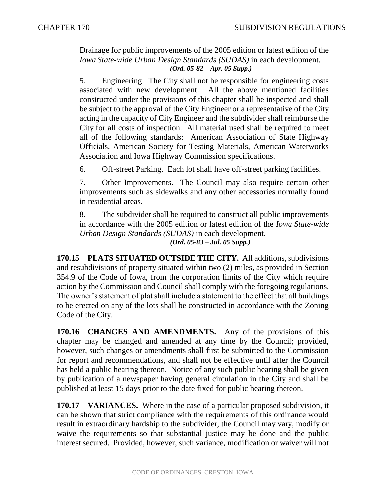Drainage for public improvements of the 2005 edition or latest edition of the *Iowa State-wide Urban Design Standards (SUDAS)* in each development. *(Ord. 05-82 – Apr. 05 Supp.)*

5. Engineering. The City shall not be responsible for engineering costs associated with new development. All the above mentioned facilities constructed under the provisions of this chapter shall be inspected and shall be subject to the approval of the City Engineer or a representative of the City acting in the capacity of City Engineer and the subdivider shall reimburse the City for all costs of inspection. All material used shall be required to meet all of the following standards: American Association of State Highway Officials, American Society for Testing Materials, American Waterworks Association and Iowa Highway Commission specifications.

6. Off-street Parking. Each lot shall have off-street parking facilities.

7. Other Improvements. The Council may also require certain other improvements such as sidewalks and any other accessories normally found in residential areas.

8. The subdivider shall be required to construct all public improvements in accordance with the 2005 edition or latest edition of the *Iowa State-wide Urban Design Standards (SUDAS)* in each development. *(Ord. 05-83 – Jul. 05 Supp.)*

**170.15 PLATS SITUATED OUTSIDE THE CITY.** All additions, subdivisions and resubdivisions of property situated within two (2) miles, as provided in Section 354.9 of the Code of Iowa, from the corporation limits of the City which require action by the Commission and Council shall comply with the foregoing regulations. The owner's statement of plat shall include a statement to the effect that all buildings to be erected on any of the lots shall be constructed in accordance with the Zoning Code of the City.

**170.16 CHANGES AND AMENDMENTS.** Any of the provisions of this chapter may be changed and amended at any time by the Council; provided, however, such changes or amendments shall first be submitted to the Commission for report and recommendations, and shall not be effective until after the Council has held a public hearing thereon. Notice of any such public hearing shall be given by publication of a newspaper having general circulation in the City and shall be published at least 15 days prior to the date fixed for public hearing thereon.

**170.17 VARIANCES.** Where in the case of a particular proposed subdivision, it can be shown that strict compliance with the requirements of this ordinance would result in extraordinary hardship to the subdivider, the Council may vary, modify or waive the requirements so that substantial justice may be done and the public interest secured. Provided, however, such variance, modification or waiver will not